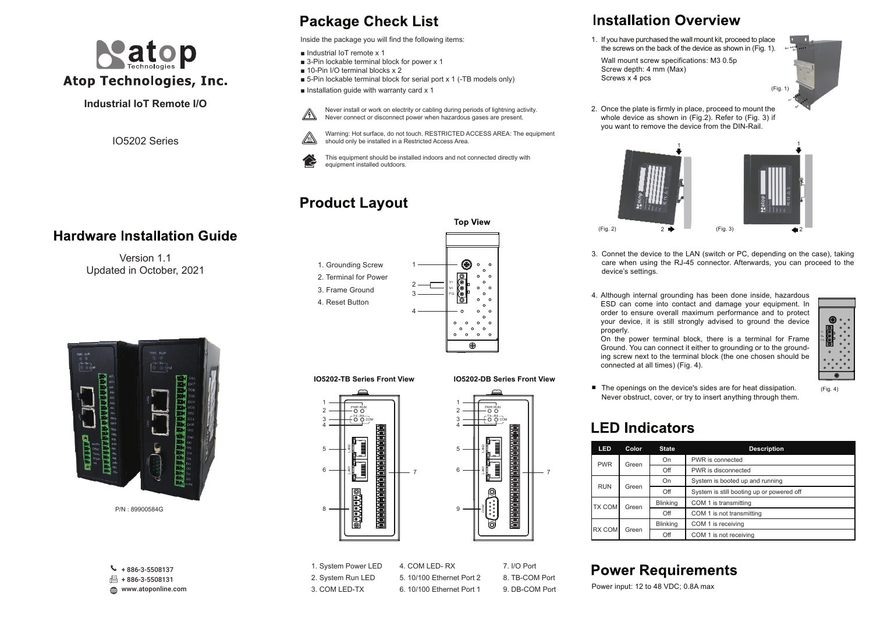

### **Industrial IoT Remote I/O**

IO5202 Series

### **Hardware Installation Guide**

Version 11 Updated in October, 2021



P/N : 89900584G

www.atoponline.com  $\leftarrow + 886 - 3 - 5508137$  $\sqrt{3}$  + 886-3-5508131

# **Package Check List**

Inside the package you will find the following items:

- Industrial IoT remote x 1
- 3-Pin lockable terminal block for power x 1
- 10-Pin I/O terminal blocks x 2
- 5-Pin lockable terminal block for serial port x 1 (-TB models only)
- $\blacksquare$  Installation guide with warranty card x 1

equipment installed outdoors.

Never install or work on electrity or cabling during periods of lightning activity.  $\mathbb{A}$ 

⚠



Never connect or disconnect power when hazardous gases are present.

Warning: Hot surface, do not touch. RESTRICTED ACCESS AREA: The equipment

should only be installed in a Restricted Access Area. This equipment should be installed indoors and not connected directly with

# **Product Layout**





### 1. System Power LED 2. System Run LED 3. COM LED-TX

4. COM LED- RX 5. 10/100 Ethernet Port 2 6. 10/100 Ethernet Port 1

7. I/O Port 8. TB-COM Port 9. DB-COM Port

# **Installation Overview**

- 1. If you have purchased the wall mount kit, proceed to place the screws on the back of the device as shown in (Fig. 1).
- Wall mount screw specifications: M3 0.5p Screw depth: 4 mm (Max) Screws x 4 pcs

(Fig. 1)

2. Once the plate is firmly in place, proceed to mount the whole device as shown in (Fig.2). Refer to (Fig. 3) if you want to remove the device from the DIN-Rail.



- 3. Connet the device to the LAN (switch or PC, depending on the case), taking care when using the RJ-45 connector. Afterwards, you can proceed to the device's settings.
- 4. Although internal grounding has been done inside, hazardous ESD can come into contact and damage your equipment. In order to ensure overall maximum performance and to protect your device, it is still strongly advised to ground the device properly.

On the power terminal block, there is a terminal for Frame Ground. You can connect it either to grounding or to the grounding screw next to the terminal block (the one chosen should be connected at all times) (Fig. 4).



(Fig. 4)

■ The openings on the device's sides are for heat dissipation. Never obstruct, cover, or try to insert anything through them.

# **LED Indicators**

| LED                                              | Color                    | <b>State</b> | <b>Description</b>                        |  |  |
|--------------------------------------------------|--------------------------|--------------|-------------------------------------------|--|--|
| <b>PWR</b>                                       | On                       |              | PWR is connected                          |  |  |
| Green<br>Off                                     |                          |              | PWR is disconnected                       |  |  |
| <b>RUN</b>                                       | On                       |              | System is booted up and running           |  |  |
| Green<br>Off                                     |                          |              | System is still booting up or powered off |  |  |
| <b>TX COM</b>                                    | <b>Blinking</b><br>Green |              | COM 1 is transmitting                     |  |  |
| Off                                              |                          |              | COM 1 is not transmitting                 |  |  |
| <b>Blinking</b><br><b>RX COM</b><br>Green<br>Off |                          |              | COM 1 is receiving                        |  |  |
|                                                  |                          |              | COM 1 is not receiving                    |  |  |

### **Power Requirements**

Power input: 12 to 48 VDC; 0.8A max





| <b>IO5202-TB Series Front View</b> |        | IO5202-DB Series Front View |  |
|------------------------------------|--------|-----------------------------|--|
|                                    |        |                             |  |
| PWR RUN<br>COM<br>5                | 5<br>ĥ | PWR RUN<br>COM              |  |
|                                    |        |                             |  |